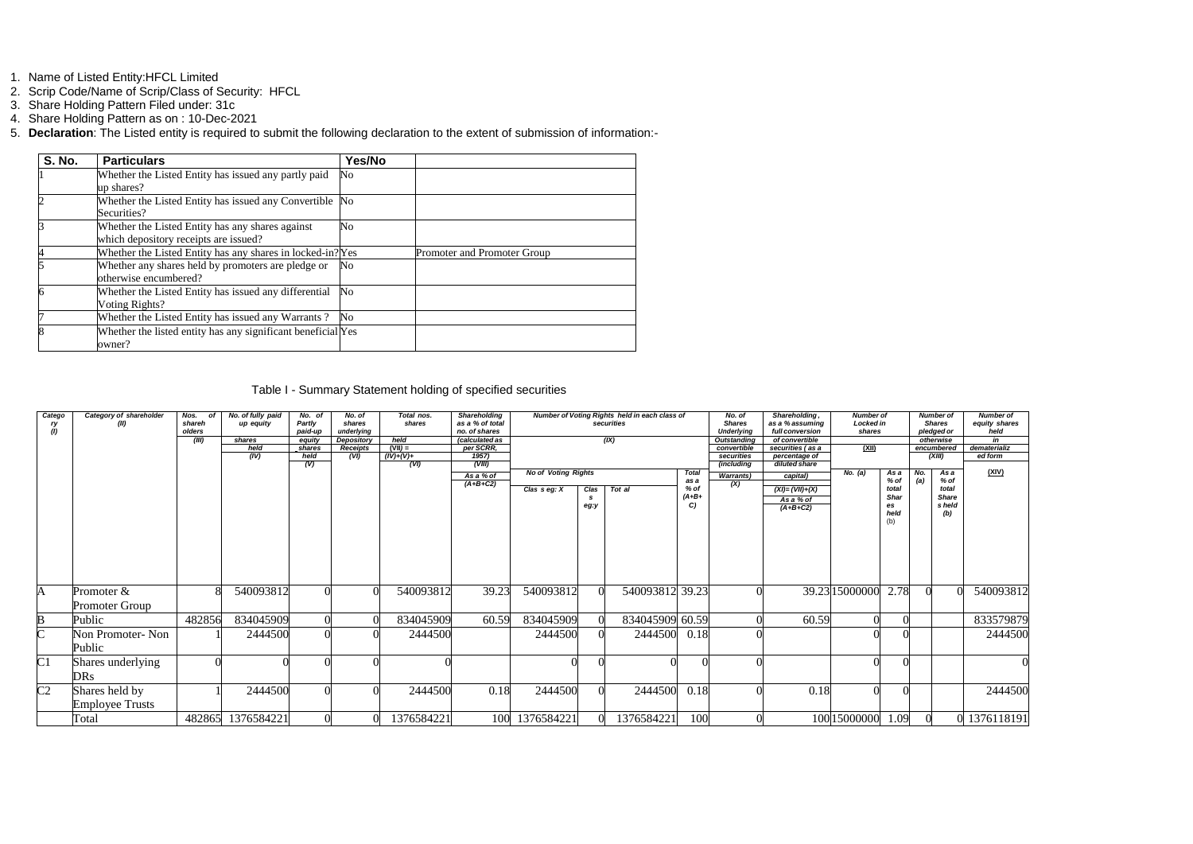- 1. Name of Listed Entity:HFCL Limited
- 2. Scrip Code/Name of Scrip/Class of Security: HFCL
- 3. Share Holding Pattern Filed under: 31c
- 4. Share Holding Pattern as on : 10-Dec-2021
- 5. **Declaration**: The Listed entity is required to submit the following declaration to the extent of submission of information:-

| <b>S. No.</b> | <b>Particulars</b>                                                                        | Yes/No |                             |
|---------------|-------------------------------------------------------------------------------------------|--------|-----------------------------|
|               | Whether the Listed Entity has issued any partly paid<br>up shares?                        | No     |                             |
|               | Whether the Listed Entity has issued any Convertible No<br>Securities?                    |        |                             |
|               | Whether the Listed Entity has any shares against<br>which depository receipts are issued? | No     |                             |
|               | Whether the Listed Entity has any shares in locked-in? Yes                                |        | Promoter and Promoter Group |
|               | Whether any shares held by promoters are pledge or<br>otherwise encumbered?               | No     |                             |
|               | Whether the Listed Entity has issued any differential<br>Voting Rights?                   | No     |                             |
|               | Whether the Listed Entity has issued any Warrants?                                        | No     |                             |
|               | Whether the listed entity has any significant beneficial Yes<br>owner?                    |        |                             |

## Table I - Summary Statement holding of specified securities

| Catego<br>(1)         | Category of shareholder<br>(II)          | Nos.<br>nf<br>shareh<br>olders | No. of fully paid<br>up equity | No. of<br>Partly<br>paid-up                  | No. of<br>shares<br>underlying        | Total nos.<br>shares                     | <b>Shareholding</b><br>Number of Voting Rights held in each class of<br>No. of<br>as a % of total<br><b>Shares</b><br>securities<br>no, of shares<br><b>Underlying</b> |                                                |              |                 |                                                | Shareholding,<br>as a % assuming<br>full conversion | <b>Number of</b><br>Locked in<br>shares                                                    |                |                                                           | <b>Number of</b><br><b>Shares</b><br>pledged or | <b>Number of</b><br>equity shares<br>held              |                               |
|-----------------------|------------------------------------------|--------------------------------|--------------------------------|----------------------------------------------|---------------------------------------|------------------------------------------|------------------------------------------------------------------------------------------------------------------------------------------------------------------------|------------------------------------------------|--------------|-----------------|------------------------------------------------|-----------------------------------------------------|--------------------------------------------------------------------------------------------|----------------|-----------------------------------------------------------|-------------------------------------------------|--------------------------------------------------------|-------------------------------|
|                       |                                          | (III)                          | shares<br>held<br>(IV)         | equity<br>shares<br>held<br>$\overline{(V)}$ | Depository<br><b>Receipts</b><br>(VI) | held<br>$(VII) =$<br>$(IV)+(V)+$<br>(VI) | (calculated as<br>per SCRR,<br>1957)<br>(VIII)                                                                                                                         |                                                |              | (X)             |                                                | convertible<br>securities<br>(including             | <b>Outstanding</b><br>of convertible<br>securities (as a<br>percentage of<br>diluted share |                |                                                           |                                                 | otherwise<br>encumbered<br>(XIII)                      | in<br>dematerializ<br>ed form |
|                       |                                          |                                |                                |                                              |                                       |                                          | As a % of<br>$(A+B+C2)$                                                                                                                                                | <b>No of Voting Rights</b><br>Clas $s$ eg: $X$ | Clas<br>eg:y | Tot al          | <b>Total</b><br>as a<br>$%$ of<br>$(A+B+$<br>C | <b>Warrants</b> )<br>(X)                            | capital)<br>$(XI) = (VII)+(X)$<br>As a % of<br>$(A+B+C2)$                                  | No. (a)        | As a<br>% of<br>total<br><b>Shar</b><br>es<br>held<br>(b) | No.<br>(a)                                      | As a<br>% of<br>total<br><b>Share</b><br>s held<br>(b) | (XIV)                         |
| $\mathbf{A}$          | Promoter $\&$<br><b>Promoter Group</b>   |                                | 540093812                      |                                              |                                       | 540093812                                | 39.23                                                                                                                                                                  | 540093812                                      |              | 540093812 39.23 |                                                |                                                     |                                                                                            | 39.23 15000000 | 2.78                                                      |                                                 |                                                        | 540093812                     |
| B                     | Public                                   | 482856                         | 834045909                      |                                              |                                       | 834045909                                | 60.59                                                                                                                                                                  | 834045909                                      |              | 834045909 60.59 |                                                |                                                     | 60.59                                                                                      |                |                                                           |                                                 |                                                        | 833579879                     |
| $\overline{\text{C}}$ | Non Promoter- Non<br>Public              |                                | 2444500                        |                                              |                                       | 2444500                                  |                                                                                                                                                                        | 2444500                                        |              | 2444500         | 0.18                                           |                                                     |                                                                                            |                |                                                           |                                                 |                                                        | 2444500                       |
| C1                    | Shares underlying<br>DRs                 |                                |                                |                                              |                                       |                                          |                                                                                                                                                                        |                                                |              |                 |                                                |                                                     |                                                                                            |                |                                                           |                                                 |                                                        |                               |
| C <sub>2</sub>        | Shares held by<br><b>Employee Trusts</b> |                                | 2444500                        |                                              |                                       | 2444500                                  | 0.18                                                                                                                                                                   | 2444500                                        |              | 2444500         | 0.18                                           |                                                     | 0.18                                                                                       |                |                                                           |                                                 |                                                        | 2444500                       |
|                       | Total                                    |                                | 482865 1376584221              |                                              |                                       | 1376584221                               |                                                                                                                                                                        | 100 1376584221                                 |              | 1376584221      | 100                                            |                                                     |                                                                                            | 100 15000000   | 1.09                                                      |                                                 |                                                        | 1376118191                    |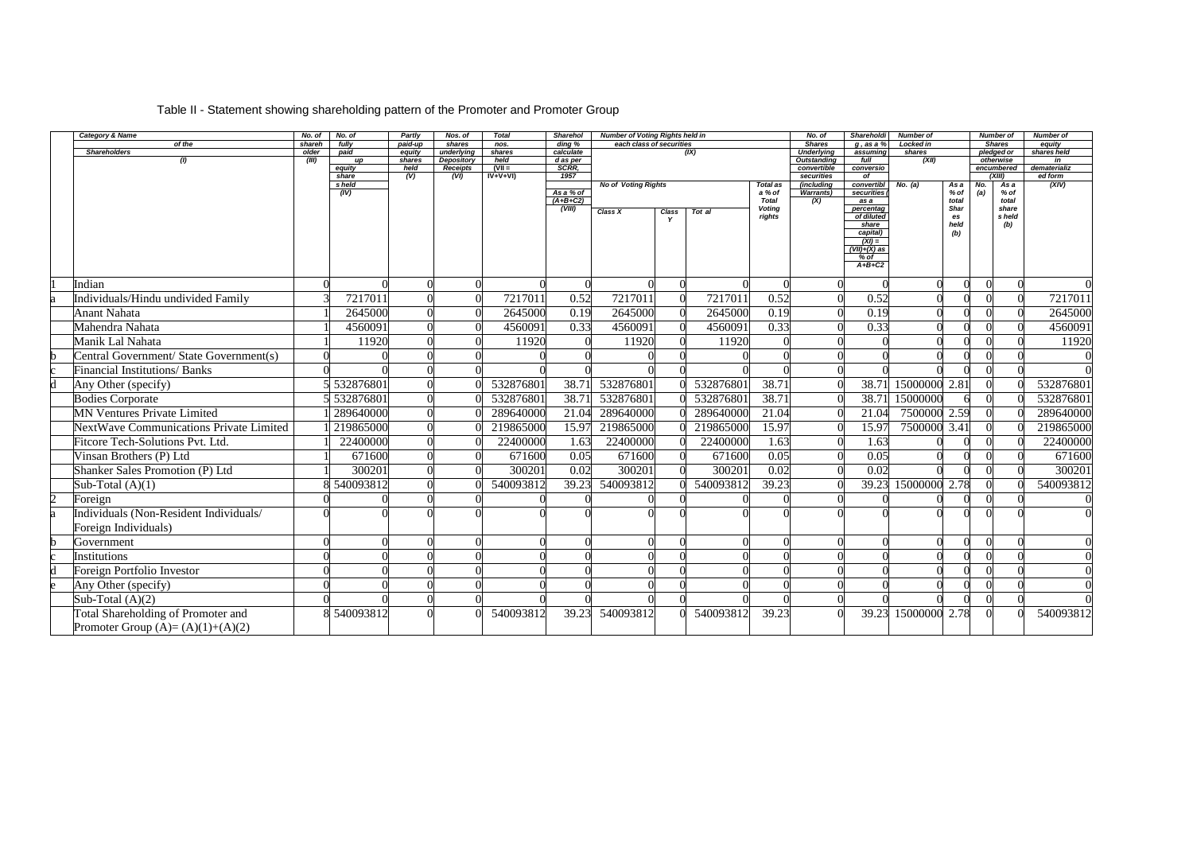| Table II - Statement showing shareholding pattern of the Promoter and Promoter Group |  |
|--------------------------------------------------------------------------------------|--|
|                                                                                      |  |

| Category & Name                                | No. of         | No. of      | Partly                    | Nos. of                         | <b>Total</b>   | <b>Sharehol</b>         | <b>Number of Voting Rights held in</b> |           |                        | No. of                           | Shareholdi         | <b>Number of</b> |                 | <b>Number of</b>        | <b>Number of</b> |
|------------------------------------------------|----------------|-------------|---------------------------|---------------------------------|----------------|-------------------------|----------------------------------------|-----------|------------------------|----------------------------------|--------------------|------------------|-----------------|-------------------------|------------------|
| of the                                         | shareh         | fully       | paid-up                   | shares                          | nos.           | ding %                  | each class of securities               |           |                        | <b>Shares</b>                    | $g$ , as a $%$     | <b>Locked in</b> |                 | <b>Shares</b>           | equity           |
| <b>Shareholders</b><br>(1)                     | older<br>(III) | paid<br>up  | equity<br>shares          | underlying<br><b>Depository</b> | shares<br>held | calculate<br>d as per   |                                        | (IX)      |                        | Underlying<br><b>Outstanding</b> | assuming<br>full   | shares<br>(XII)  |                 | pledged or<br>otherwise | shares held      |
|                                                |                | equity      | held                      | <b>Receipts</b>                 | $(VII =$       | <b>SCRR.</b>            |                                        |           |                        | convertible                      | conversio          |                  |                 | encumbered              | dematerializ     |
|                                                |                | share       | $\overline{(\mathsf{V})}$ | (VI)                            | $IV+V+VI$      | 1957                    |                                        |           |                        | securities                       | $\overline{of}$    |                  |                 | (XIII)                  | ed form          |
|                                                |                | s held      |                           |                                 |                |                         | <b>No of Voting Rights</b>             |           | <b>Total as</b>        | (including                       | convertibl         | No. (a)          | As a            | As a<br>No.             | (XIV)            |
|                                                |                | (IV)        |                           |                                 |                | As a % of<br>$(A+B+C2)$ |                                        |           | a % of<br><b>Total</b> | <b>Warrants</b> )<br>(X)         | securities<br>as a |                  | $%$ of<br>total | (a)<br>$%$ of<br>total  |                  |
|                                                |                |             |                           |                                 |                | (VIII)                  | Class X<br><b>Class</b>                | Tot al    | <b>Voting</b>          |                                  | percentag          |                  | Shar            | share                   |                  |
|                                                |                |             |                           |                                 |                |                         |                                        |           | rights                 |                                  | of diluted         |                  | es              | s held                  |                  |
|                                                |                |             |                           |                                 |                |                         |                                        |           |                        |                                  | share<br>capital)  |                  | held<br>(b)     | (b)                     |                  |
|                                                |                |             |                           |                                 |                |                         |                                        |           |                        |                                  | $(XI) =$           |                  |                 |                         |                  |
|                                                |                |             |                           |                                 |                |                         |                                        |           |                        |                                  | $(VII)+(X)$ as     |                  |                 |                         |                  |
|                                                |                |             |                           |                                 |                |                         |                                        |           |                        |                                  | % of<br>$A+B+C2$   |                  |                 |                         |                  |
|                                                |                |             |                           |                                 |                |                         |                                        |           |                        |                                  |                    |                  |                 |                         |                  |
| Indian                                         |                |             |                           |                                 |                |                         |                                        |           |                        |                                  |                    |                  |                 | $\Omega$                | $\overline{0}$   |
| Individuals/Hindu undivided Family             |                | 7217011     |                           |                                 | 7217011        | 0.52                    | 7217011                                | 7217011   | 0.52                   |                                  | 0.52               |                  |                 |                         | 7217011          |
| <b>Anant Nahata</b>                            |                | 2645000     |                           |                                 | 2645000        | 0.19                    | 2645000                                | 2645000   | 0.19                   |                                  | 0.19               |                  |                 |                         | 2645000          |
| Mahendra Nahata                                |                | 4560091     |                           |                                 | 4560091        | 0.33                    | 4560091                                | 4560091   | 0.33                   |                                  | 0.33               |                  |                 |                         | 4560091          |
| Manik Lal Nahata                               |                | 11920       |                           |                                 | 11920          |                         | 11920                                  | 11920     |                        |                                  |                    |                  |                 |                         | 11920            |
| Central Government/ State Government(s)        |                |             |                           |                                 |                |                         |                                        |           |                        |                                  |                    |                  |                 |                         |                  |
| <b>Financial Institutions/ Banks</b>           |                |             |                           |                                 |                |                         |                                        |           |                        |                                  |                    |                  |                 |                         |                  |
| Any Other (specify)                            |                | 532876801   |                           |                                 | 532876801      | 38.71                   | 532876801                              | 532876801 | 38.71                  |                                  | 38.71              | 15000000 2.81    |                 | $\Omega$                | 532876801        |
| <b>Bodies Corporate</b>                        |                | 532876801   |                           |                                 | 532876801      | 38.71                   | 532876801                              | 532876801 | 38.71                  |                                  | 38.71              | 15000000         |                 |                         | 532876801        |
| <b>MN Ventures Private Limited</b>             |                | 289640000   |                           |                                 | 289640000      | 21.04                   | 289640000                              | 289640000 | 21.04                  |                                  | 21.04              | 7500000 2.59     |                 |                         | 289640000        |
| <b>NextWave Communications Private Limited</b> |                | 219865000   |                           |                                 | 219865000      | 15.97                   | 219865000                              | 219865000 | 15.97                  |                                  | 15.97              | 7500000          | 3.41            |                         | 219865000        |
| <b>Fitcore Tech-Solutions Pvt. Ltd.</b>        |                | 22400000    |                           |                                 | 22400000       | 1.63                    | 22400000                               | 22400000  | 1.63                   |                                  | 1.63               |                  |                 |                         | 22400000         |
| Vinsan Brothers (P) Ltd                        |                | 671600      |                           |                                 | 671600         | 0.05                    | 671600                                 | 671600    | 0.05                   |                                  | 0.05               |                  |                 |                         | 671600           |
| Shanker Sales Promotion (P) Ltd                |                | 300201      |                           |                                 | 300201         | 0.02                    | 300201                                 | 300201    | 0.02                   |                                  | 0.02               |                  |                 |                         | 300201           |
| Sub-Total $(A)(1)$                             |                | 540093812   |                           |                                 | 540093812      | 39.23                   | 540093812                              | 540093812 | 39.23                  |                                  | 39.23              | 15000000         | 2.78            |                         | 540093812        |
| Foreign                                        |                |             |                           |                                 |                |                         |                                        |           |                        |                                  |                    |                  |                 |                         |                  |
| Individuals (Non-Resident Individuals/         |                |             |                           |                                 |                |                         |                                        |           |                        |                                  |                    |                  |                 |                         |                  |
| Foreign Individuals)                           |                |             |                           |                                 |                |                         |                                        |           |                        |                                  |                    |                  |                 |                         |                  |
| Government                                     |                |             |                           |                                 |                |                         |                                        |           |                        |                                  |                    |                  |                 |                         |                  |
| Institutions                                   |                |             |                           |                                 |                |                         |                                        |           |                        |                                  |                    |                  |                 |                         |                  |
| Foreign Portfolio Investor                     |                |             |                           |                                 |                |                         |                                        |           |                        |                                  |                    |                  |                 |                         |                  |
| Any Other (specify)                            |                |             |                           |                                 |                |                         |                                        |           |                        |                                  |                    |                  |                 |                         |                  |
| Sub-Total $(A)(2)$                             |                |             |                           |                                 |                |                         |                                        |           |                        |                                  |                    |                  |                 |                         | $\Omega$         |
| Total Shareholding of Promoter and             |                | 8 540093812 |                           |                                 | 540093812      | 39.23                   | 540093812                              | 540093812 | 39.23                  |                                  | 39.23              | 15000000 2.78    |                 | $\Omega$                | 540093812        |
| Promoter Group $(A)=(A)(1)+(A)(2)$             |                |             |                           |                                 |                |                         |                                        |           |                        |                                  |                    |                  |                 |                         |                  |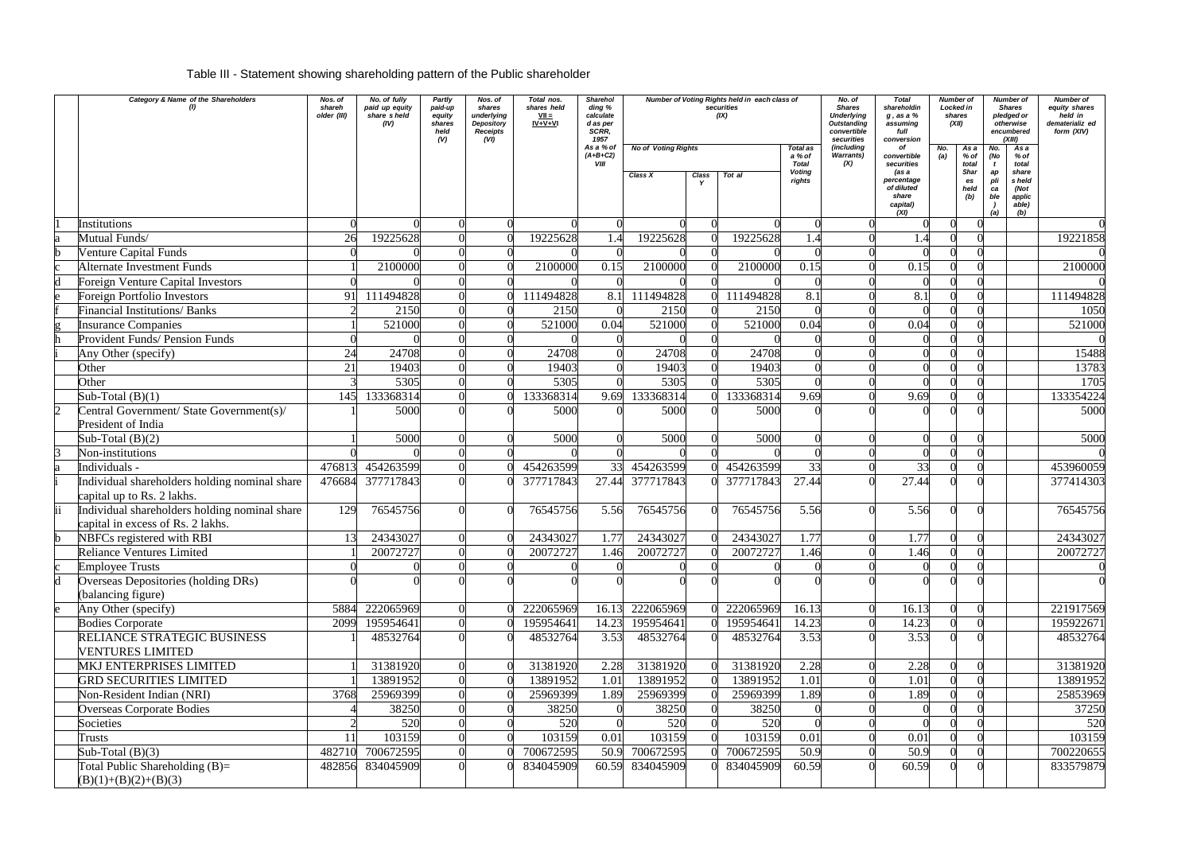## Table III - Statement showing shareholding pattern of the Public shareholder

|              | <b>Category &amp; Name of the Shareholders</b>                                     | Nos. of<br>shareh<br>older (III) | No. of fully<br>paid up equity<br>share sheld<br>(IV) | Partly<br>paid-up<br>equity<br>shares<br>held<br>(V) | Nos. of<br>shares<br>underlying<br>Depository<br><b>Receipts</b><br>(VI) | Total nos.<br>shares held<br>$VII =$<br>$IV+V+VI$ | <b>Sharehol</b><br>ding %<br>calculate<br>d as per<br><b>SCRR.</b><br>1957 | Number of Voting Rights held in each class of<br>securities<br>(IX)<br><b>No of Voting Rights</b> |       |           |                                                        | No. of<br><b>Shares</b><br><b>Underlying</b><br><b>Outstanding</b><br>convertible<br>securities<br>(including | <b>Total</b><br>shareholdin<br>$g$ , as a $%$<br>assuming<br>full<br>conversion<br>of | No. | <b>Number of</b><br>Locked in<br>shares<br>(XII)                                                    | <b>Number of</b><br><b>Shares</b><br>pledged or<br>otherwise<br>encumbered<br>(XIII) | <b>Number of</b><br>equity shares<br>held in<br>dematerializ ed<br>form (XIV) |
|--------------|------------------------------------------------------------------------------------|----------------------------------|-------------------------------------------------------|------------------------------------------------------|--------------------------------------------------------------------------|---------------------------------------------------|----------------------------------------------------------------------------|---------------------------------------------------------------------------------------------------|-------|-----------|--------------------------------------------------------|---------------------------------------------------------------------------------------------------------------|---------------------------------------------------------------------------------------|-----|-----------------------------------------------------------------------------------------------------|--------------------------------------------------------------------------------------|-------------------------------------------------------------------------------|
|              |                                                                                    |                                  |                                                       |                                                      |                                                                          |                                                   | As a % of<br>$(A+B+C2)$<br><b>VIII</b>                                     | Class X                                                                                           | Class | Tot al    | Total as<br>a % of<br><b>Total</b><br>Voting<br>rights | <b>Warrants)</b><br>(X)                                                                                       | convertible<br>securities<br>(as a<br>percentage<br>of diluted<br>share<br>capital)   |     | As a<br>No.<br>$%$ of<br>(No<br>total<br><b>Shar</b><br>ap<br>pli<br>es<br>held<br>ca<br>(b)<br>ble | As a<br>% of<br>total<br>share<br>s held<br>(Not<br>applic<br>able)                  |                                                                               |
|              | <b>Institutions</b>                                                                |                                  |                                                       |                                                      |                                                                          |                                                   |                                                                            |                                                                                                   |       |           |                                                        |                                                                                                               | (XI)                                                                                  |     | (a)                                                                                                 | (b)                                                                                  |                                                                               |
|              | Mutual Funds/                                                                      | 26                               | 19225628                                              |                                                      |                                                                          | 19225628                                          |                                                                            | 19225628                                                                                          |       | 19225628  |                                                        |                                                                                                               |                                                                                       |     |                                                                                                     |                                                                                      | 19221858                                                                      |
|              | <b>Venture Capital Funds</b>                                                       |                                  |                                                       |                                                      |                                                                          |                                                   |                                                                            |                                                                                                   |       |           |                                                        |                                                                                                               |                                                                                       |     |                                                                                                     |                                                                                      |                                                                               |
|              | <b>Alternate Investment Funds</b>                                                  |                                  | 2100000                                               |                                                      |                                                                          | 2100000                                           | 0.15                                                                       | 2100000                                                                                           |       | 2100000   | 0.15                                                   |                                                                                                               | 0.15                                                                                  |     |                                                                                                     |                                                                                      | 2100000                                                                       |
|              | <b>Foreign Venture Capital Investors</b>                                           |                                  |                                                       |                                                      |                                                                          |                                                   |                                                                            |                                                                                                   |       |           |                                                        |                                                                                                               |                                                                                       |     |                                                                                                     |                                                                                      |                                                                               |
|              | <b>Foreign Portfolio Investors</b>                                                 | 91                               | 111494828                                             |                                                      |                                                                          | 111494828                                         | 8.1                                                                        | 111494828                                                                                         |       | 111494828 | 8.1                                                    |                                                                                                               | 8.1                                                                                   |     |                                                                                                     |                                                                                      | 111494828                                                                     |
|              | <b>Financial Institutions/ Banks</b>                                               |                                  | 2150                                                  |                                                      |                                                                          | 2150                                              |                                                                            | 2150                                                                                              |       | 2150      |                                                        |                                                                                                               |                                                                                       |     |                                                                                                     |                                                                                      | 1050                                                                          |
|              | <b>Insurance Companies</b>                                                         |                                  | 521000                                                |                                                      |                                                                          | 521000                                            | 0.04                                                                       | 521000                                                                                            |       | 521000    | 0.04                                                   |                                                                                                               | 0.04                                                                                  |     |                                                                                                     |                                                                                      | 521000                                                                        |
|              | Provident Funds/ Pension Funds                                                     |                                  |                                                       |                                                      |                                                                          |                                                   |                                                                            |                                                                                                   |       |           |                                                        |                                                                                                               |                                                                                       |     |                                                                                                     |                                                                                      |                                                                               |
|              | Any Other (specify)                                                                | 24                               | 24708                                                 |                                                      |                                                                          | 24708                                             |                                                                            | 24708                                                                                             |       | 24708     |                                                        |                                                                                                               |                                                                                       |     |                                                                                                     |                                                                                      | 15488                                                                         |
|              | Other                                                                              | 21                               | 19403                                                 |                                                      |                                                                          | 19403                                             |                                                                            | 19403                                                                                             |       | 19403     |                                                        |                                                                                                               |                                                                                       |     |                                                                                                     |                                                                                      | 13783                                                                         |
|              | Other                                                                              |                                  | 5305                                                  |                                                      |                                                                          | 5305                                              |                                                                            | 5305                                                                                              |       | 5305      |                                                        |                                                                                                               |                                                                                       |     |                                                                                                     |                                                                                      | 1705                                                                          |
|              | Sub-Total $(B)(1)$                                                                 | 145                              | 133368314                                             |                                                      |                                                                          | 133368314                                         | 9.69                                                                       | 133368314                                                                                         |       | 133368314 | 9.69                                                   |                                                                                                               | 9.69                                                                                  |     |                                                                                                     |                                                                                      | 133354224                                                                     |
|              | Central Government/ State Government(s)/<br>President of India                     |                                  | 5000                                                  |                                                      |                                                                          | 5000                                              |                                                                            | 5000                                                                                              |       | 5000      |                                                        |                                                                                                               |                                                                                       |     |                                                                                                     |                                                                                      | 5000                                                                          |
|              | Sub-Total $(B)(2)$                                                                 |                                  | 5000                                                  |                                                      |                                                                          | 5000                                              |                                                                            | 5000                                                                                              |       | 5000      |                                                        |                                                                                                               |                                                                                       |     |                                                                                                     |                                                                                      | 5000                                                                          |
|              | Non-institutions                                                                   |                                  |                                                       |                                                      |                                                                          |                                                   |                                                                            |                                                                                                   |       |           |                                                        |                                                                                                               |                                                                                       |     |                                                                                                     |                                                                                      |                                                                               |
|              | Individuals -                                                                      | 47681                            | 454263599                                             |                                                      |                                                                          | 454263599                                         | 33                                                                         | 454263599                                                                                         |       | 454263599 | 33                                                     |                                                                                                               | 33                                                                                    |     |                                                                                                     |                                                                                      | 453960059                                                                     |
|              | Individual shareholders holding nominal share<br>capital up to Rs. 2 lakhs.        | 476684                           | 377717843                                             |                                                      |                                                                          | 377717843                                         | 27.44                                                                      | 377717843                                                                                         |       | 377717843 | 27.44                                                  |                                                                                                               | 27.44                                                                                 |     |                                                                                                     |                                                                                      | 377414303                                                                     |
|              | Individual shareholders holding nominal share<br>capital in excess of Rs. 2 lakhs. | 129                              | 76545756                                              |                                                      |                                                                          | 76545756                                          | 5.56                                                                       | 76545756                                                                                          |       | 76545756  | 5.56                                                   |                                                                                                               | 5.56                                                                                  |     |                                                                                                     |                                                                                      | 76545756                                                                      |
| $\mathbf{h}$ | NBFCs registered with RBI                                                          | 13                               | 24343027                                              |                                                      |                                                                          | 24343027                                          | .77                                                                        | 24343027                                                                                          |       | 24343027  | 1.77                                                   |                                                                                                               | 1.77                                                                                  |     |                                                                                                     |                                                                                      | 24343027                                                                      |
|              | <b>Reliance Ventures Limited</b>                                                   |                                  | 20072727                                              |                                                      |                                                                          | 20072727                                          | 1.46                                                                       | 20072727                                                                                          |       | 20072727  | 1.46                                                   |                                                                                                               | 1.46                                                                                  |     |                                                                                                     |                                                                                      | 20072727                                                                      |
|              | <b>Employee Trusts</b>                                                             |                                  |                                                       |                                                      |                                                                          |                                                   |                                                                            |                                                                                                   |       |           |                                                        |                                                                                                               |                                                                                       |     |                                                                                                     |                                                                                      |                                                                               |
|              | Overseas Depositories (holding DRs)<br>(balancing figure)                          |                                  |                                                       |                                                      |                                                                          |                                                   |                                                                            |                                                                                                   |       |           |                                                        |                                                                                                               |                                                                                       |     |                                                                                                     |                                                                                      |                                                                               |
|              | Any Other (specify)                                                                | 5884                             | 222065969                                             |                                                      |                                                                          | 222065969                                         | 16.13                                                                      | 222065969                                                                                         |       | 222065969 | 16.13                                                  |                                                                                                               | 16.13                                                                                 |     |                                                                                                     |                                                                                      | 221917569                                                                     |
|              | <b>Bodies Corporate</b>                                                            | 2099                             | 195954641                                             |                                                      |                                                                          | 195954641                                         | 14.23                                                                      | 195954641                                                                                         |       | 195954641 | 14.23                                                  |                                                                                                               | 14.23                                                                                 |     |                                                                                                     |                                                                                      | 195922671                                                                     |
|              | RELIANCE STRATEGIC BUSINESS<br><b>VENTURES LIMITED</b>                             |                                  | 48532764                                              |                                                      |                                                                          | 48532764                                          | 3.53                                                                       | 48532764                                                                                          |       | 48532764  | 3.53                                                   |                                                                                                               | 3.53                                                                                  |     |                                                                                                     |                                                                                      | 48532764                                                                      |
|              | <b>MKJ ENTERPRISES LIMITED</b>                                                     |                                  | 31381920                                              |                                                      |                                                                          | 31381920                                          | 2.28                                                                       | 31381920                                                                                          |       | 31381920  | 2.28                                                   |                                                                                                               | 2.28                                                                                  |     |                                                                                                     |                                                                                      | 31381920                                                                      |
|              | <b>GRD SECURITIES LIMITED</b>                                                      |                                  | 13891952                                              |                                                      |                                                                          | 13891952                                          | 1.01                                                                       | 13891952                                                                                          |       | 13891952  | 1.01                                                   |                                                                                                               | 1.01                                                                                  |     |                                                                                                     |                                                                                      | 13891952                                                                      |
|              | Non-Resident Indian (NRI)                                                          | 3768                             | 25969399                                              |                                                      |                                                                          | 25969399                                          | 1.89                                                                       | 25969399                                                                                          |       | 25969399  | 1.89                                                   |                                                                                                               | 1.89                                                                                  |     |                                                                                                     |                                                                                      | 25853969                                                                      |
|              | <b>Overseas Corporate Bodies</b>                                                   |                                  | 38250                                                 |                                                      |                                                                          | 38250                                             |                                                                            | 38250                                                                                             |       | 38250     |                                                        |                                                                                                               |                                                                                       |     |                                                                                                     |                                                                                      | 37250                                                                         |
|              | Societies                                                                          |                                  | 520                                                   |                                                      |                                                                          | 520                                               |                                                                            | 520                                                                                               |       | 520       |                                                        |                                                                                                               |                                                                                       |     |                                                                                                     |                                                                                      | 520                                                                           |
|              | <b>Trusts</b>                                                                      | 11                               | 103159                                                |                                                      |                                                                          | 103159                                            | 0.01                                                                       | 103159                                                                                            |       | 103159    | 0.01                                                   |                                                                                                               | 0.01                                                                                  |     |                                                                                                     |                                                                                      | 103159                                                                        |
|              | Sub-Total $(B)(3)$                                                                 | 482710                           | 700672595                                             |                                                      |                                                                          | 700672595                                         | 50.9                                                                       | 700672595                                                                                         |       | 700672595 | 50.9                                                   |                                                                                                               | 50.9                                                                                  |     |                                                                                                     |                                                                                      | 700220655                                                                     |
|              | Total Public Shareholding $(B)=$<br>$(B)(1)+(B)(2)+(B)(3)$                         | 482856                           | 834045909                                             |                                                      |                                                                          | 834045909                                         |                                                                            | 60.59 834045909                                                                                   |       | 834045909 | 60.59                                                  |                                                                                                               | 60.59                                                                                 |     |                                                                                                     |                                                                                      | 833579879                                                                     |